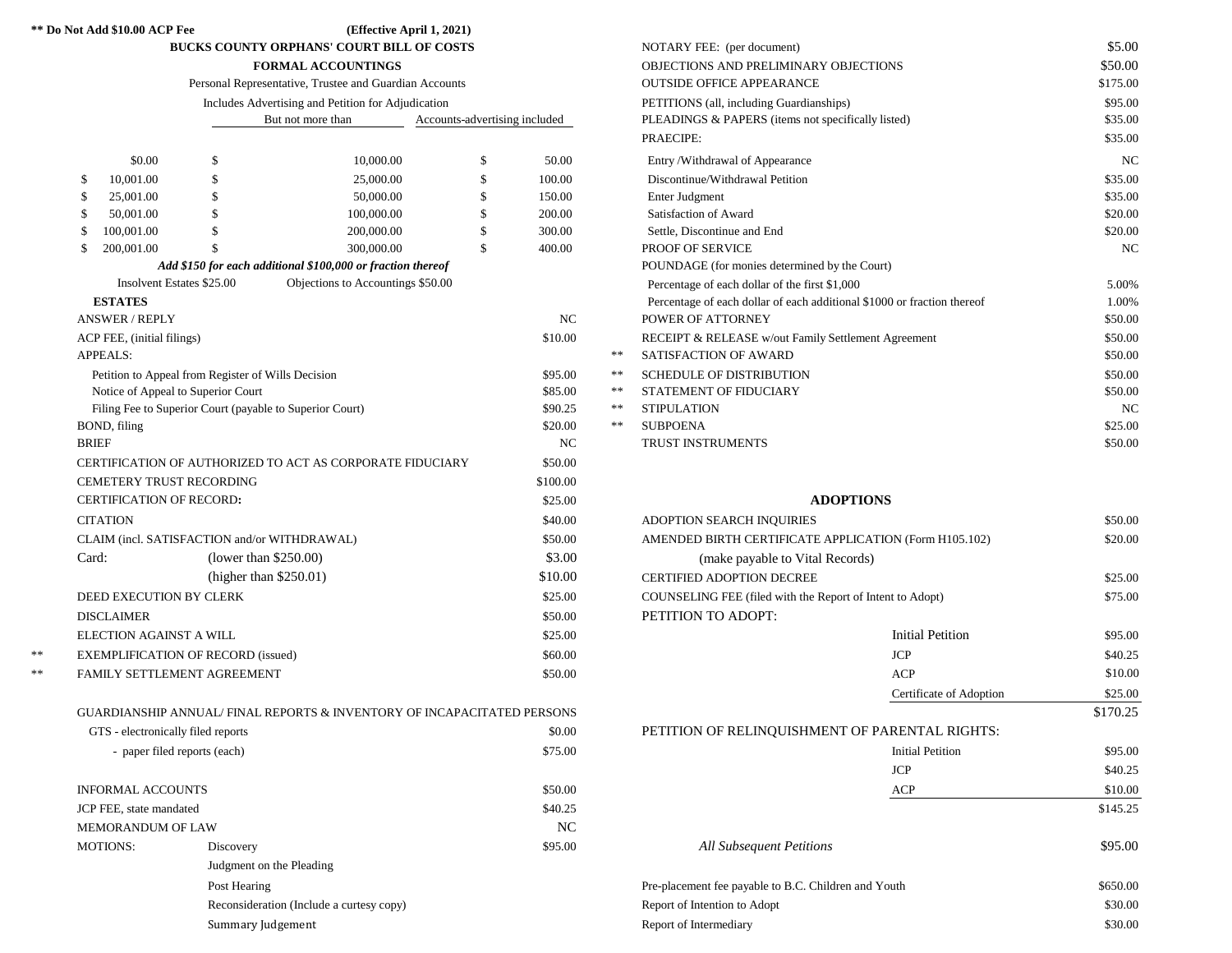### **\*\* Do Not Add \$10.00 ACP Fee (Effective April 1, 2021)**

 **BUCKS COUNTY ORPHANS' COURT BILL OF COSTS**

| Personal Representative, Trustee and Guardian Accounts |  |
|--------------------------------------------------------|--|
|--------------------------------------------------------|--|

| Includes Advertising and Petition for Adjudication |  |
|----------------------------------------------------|--|
|----------------------------------------------------|--|

|               | But not more than                                                                            |                                 |     | Accounts-advertising included                               |         |                                                       | PLEADINGS & PAPERS (items not specifically listed) |                                                           |                                                                         |         |
|---------------|----------------------------------------------------------------------------------------------|---------------------------------|-----|-------------------------------------------------------------|---------|-------------------------------------------------------|----------------------------------------------------|-----------------------------------------------------------|-------------------------------------------------------------------------|---------|
|               |                                                                                              |                                 |     |                                                             |         | PRAECIPE:                                             |                                                    |                                                           |                                                                         |         |
|               |                                                                                              | \$0.00                          | \$. | 10,000.00                                                   |         | \$                                                    | 50.00                                              |                                                           | Entry/Withdrawal of Appearance                                          | NC      |
|               | \$                                                                                           | 10,001.00                       | \$  | 25,000.00                                                   |         | \$                                                    | 100.00                                             |                                                           | Discontinue/Withdrawal Petition                                         | \$35.00 |
|               |                                                                                              | 25,001.00                       |     | 50,000.00                                                   |         |                                                       | 150.00                                             |                                                           | Enter Judgment                                                          | \$35.00 |
|               | \$.                                                                                          | 50,001.00                       | \$. | 100,000.00                                                  |         | S                                                     | 200.00                                             |                                                           | Satisfaction of Award                                                   | \$20.00 |
|               | \$.                                                                                          | 100,001.00                      |     | 200,000.00                                                  |         |                                                       | 300.00                                             |                                                           | Settle, Discontinue and End                                             | \$20.00 |
|               | $\mathbb{S}$                                                                                 | 200,001.00                      |     | 300,000.00                                                  |         | \$                                                    | 400.00                                             |                                                           | PROOF OF SERVICE                                                        | NC      |
|               |                                                                                              |                                 |     | Add \$150 for each additional \$100,000 or fraction thereof |         |                                                       |                                                    |                                                           | POUNDAGE (for monies determined by the Court)                           |         |
|               |                                                                                              | Insolvent Estates \$25.00       |     | Objections to Accountings \$50.00                           |         |                                                       |                                                    |                                                           | Percentage of each dollar of the first \$1,000                          | 5.00%   |
|               |                                                                                              | <b>ESTATES</b>                  |     |                                                             |         |                                                       |                                                    |                                                           | Percentage of each dollar of each additional \$1000 or fraction thereof | 1.00%   |
|               |                                                                                              | <b>ANSWER / REPLY</b>           |     |                                                             |         |                                                       | <b>NC</b>                                          |                                                           | POWER OF ATTORNEY                                                       | \$50.00 |
|               |                                                                                              | ACP FEE, (initial filings)      |     |                                                             |         |                                                       | \$10.00                                            |                                                           | RECEIPT & RELEASE w/out Family Settlement Agreement                     | \$50.00 |
|               |                                                                                              | <b>APPEALS:</b>                 |     |                                                             |         |                                                       |                                                    | $\ast$ $\ast$                                             | <b>SATISFACTION OF AWARD</b>                                            | \$50.00 |
|               | Petition to Appeal from Register of Wills Decision                                           |                                 |     |                                                             |         |                                                       | \$95.00                                            | $\ast$ $\ast$                                             | <b>SCHEDULE OF DISTRIBUTION</b>                                         | \$50.00 |
|               | Notice of Appeal to Superior Court                                                           |                                 |     |                                                             |         |                                                       | \$85.00                                            | $\ast$ $\ast$                                             | STATEMENT OF FIDUCIARY                                                  | \$50.00 |
|               |                                                                                              |                                 |     | Filing Fee to Superior Court (payable to Superior Court)    |         |                                                       | \$90.25                                            | $\ast$ $\ast$                                             | <b>STIPULATION</b>                                                      | NC      |
|               |                                                                                              | BOND, filing                    |     |                                                             |         |                                                       | \$20.00                                            | $\gg \gg$                                                 | <b>SUBPOENA</b>                                                         | \$25.00 |
|               | <b>BRIEF</b>                                                                                 |                                 |     |                                                             |         | N <sub>C</sub>                                        |                                                    | <b>TRUST INSTRUMENTS</b>                                  | \$50.00                                                                 |         |
|               | CERTIFICATION OF AUTHORIZED TO ACT AS CORPORATE FIDUCIARY<br><b>CEMETERY TRUST RECORDING</b> |                                 |     |                                                             | \$50.00 |                                                       |                                                    |                                                           |                                                                         |         |
|               |                                                                                              |                                 |     | \$100.00                                                    |         |                                                       |                                                    |                                                           |                                                                         |         |
|               |                                                                                              | <b>CERTIFICATION OF RECORD:</b> |     |                                                             |         |                                                       | \$25.00                                            |                                                           |                                                                         |         |
|               |                                                                                              | <b>CITATION</b>                 |     |                                                             |         |                                                       | \$40.00                                            |                                                           | <b>ADOPTION SEARCH INQUIRIES</b>                                        | \$50.00 |
|               | CLAIM (incl. SATISFACTION and/or WITHDRAWAL)                                                 |                                 |     |                                                             | \$50.00 | AMENDED BIRTH CERTIFICATE APPLICATION (Form H105.102) |                                                    | \$20.00                                                   |                                                                         |         |
|               | Card:                                                                                        |                                 |     | (lower than $$250.00$ )                                     |         |                                                       | \$3.00                                             |                                                           | (make payable to Vital Records)                                         |         |
|               |                                                                                              |                                 |     | (higher than $$250.01$ )                                    |         |                                                       | \$10.00                                            |                                                           | <b>CERTIFIED ADOPTION DECREE</b>                                        | \$25.00 |
|               | DEED EXECUTION BY CLERK                                                                      |                                 |     |                                                             |         | \$25.00                                               |                                                    | COUNSELING FEE (filed with the Report of Intent to Adopt) | \$75.00                                                                 |         |
|               | <b>DISCLAIMER</b>                                                                            |                                 |     |                                                             |         |                                                       | \$50.00                                            |                                                           | PETITION TO ADOPT:                                                      |         |
|               | ELECTION AGAINST A WILL                                                                      |                                 |     |                                                             |         |                                                       | \$25.00                                            |                                                           | <b>Initial Petition</b>                                                 | \$95.00 |
| $\ast$ $\ast$ | <b>EXEMPLIFICATION OF RECORD (issued)</b>                                                    |                                 |     |                                                             |         |                                                       | \$60.00                                            |                                                           | <b>JCP</b>                                                              | \$40.25 |
| $\ast$ $\ast$ | FAMILY SETTLEMENT AGREEMENT                                                                  |                                 |     |                                                             |         |                                                       | \$50.00                                            |                                                           | <b>ACP</b>                                                              | \$10.00 |
|               |                                                                                              |                                 |     |                                                             |         |                                                       |                                                    |                                                           |                                                                         |         |

|--|

| GTS - electronically filed reports | \$0.00                                   |         |
|------------------------------------|------------------------------------------|---------|
| - paper filed reports (each)       | \$75.00                                  |         |
| <b>INFORMAL ACCOUNTS</b>           |                                          | \$50.00 |
| JCP FEE, state mandated            |                                          | \$40.25 |
| <b>MEMORANDUM OF LAW</b>           |                                          | NC      |
| <b>MOTIONS:</b>                    | Discovery                                | \$95.00 |
|                                    | Judgment on the Pleading                 |         |
|                                    |                                          |         |
|                                    | Reconsideration (Include a curtesy copy) |         |
|                                    | Summary Judgement                        |         |

| <b>BUCKS COUNTY ORPHANS' COURT BILL OF COSTS</b>                    |                                                    |                   |                                                    |                               |                               |       | NOTARY FEE: (per document)                                              | \$5.00         |
|---------------------------------------------------------------------|----------------------------------------------------|-------------------|----------------------------------------------------|-------------------------------|-------------------------------|-------|-------------------------------------------------------------------------|----------------|
| <b>FORMAL ACCOUNTINGS</b>                                           |                                                    |                   |                                                    |                               |                               |       | OBJECTIONS AND PRELIMINARY OBJECTIONS                                   | \$50.00        |
| Personal Representative, Trustee and Guardian Accounts              |                                                    |                   |                                                    |                               |                               |       | <b>OUTSIDE OFFICE APPEARANCE</b>                                        | \$175.00       |
|                                                                     |                                                    |                   | Includes Advertising and Petition for Adjudication |                               |                               |       | PETITIONS (all, including Guardianships)                                | \$95.00        |
|                                                                     |                                                    | But not more than |                                                    |                               | Accounts-advertising included |       | PLEADINGS & PAPERS (items not specifically listed)                      | \$35.00        |
|                                                                     |                                                    |                   |                                                    |                               |                               |       | <b>PRAECIPE:</b>                                                        | \$35.00        |
|                                                                     | \$0.00                                             | \$                | 10,000.00                                          | \$                            | 50.00                         |       | Entry/Withdrawal of Appearance                                          | N <sub>C</sub> |
| \$                                                                  | 10,001.00                                          | \$                | 25,000.00                                          |                               | 100.00                        |       | Discontinue/Withdrawal Petition                                         | \$35.00        |
|                                                                     | 25,001.00                                          |                   | 50,000.00                                          |                               | 150.00                        |       | Enter Judgment                                                          | \$35.00        |
|                                                                     | 50,001.00                                          |                   | 100,000.00                                         |                               | 200.00                        |       | Satisfaction of Award                                                   | \$20.00        |
|                                                                     | 100,001.00                                         |                   | 200,000.00                                         |                               | 300.00                        |       | Settle, Discontinue and End                                             | \$20.00        |
|                                                                     | 200,001.00                                         |                   | 300,000.00                                         |                               | 400.00                        |       | <b>PROOF OF SERVICE</b>                                                 | N <sub>C</sub> |
| Add \$150 for each additional \$100,000 or fraction thereof         |                                                    |                   |                                                    |                               |                               |       | POUNDAGE (for monies determined by the Court)                           |                |
| Insolvent Estates \$25.00<br>Objections to Accountings \$50.00      |                                                    |                   |                                                    |                               |                               |       | Percentage of each dollar of the first \$1,000                          | 5.00%          |
|                                                                     | <b>ESTATES</b>                                     |                   |                                                    |                               |                               |       | Percentage of each dollar of each additional \$1000 or fraction thereof | 1.00%          |
|                                                                     | <b>ANSWER / REPLY</b>                              |                   |                                                    |                               | NC                            |       | POWER OF ATTORNEY                                                       | \$50.00        |
|                                                                     | ACP FEE, (initial filings)                         |                   |                                                    |                               | \$10.00                       |       | RECEIPT & RELEASE w/out Family Settlement Agreement                     | \$50.00        |
|                                                                     | <b>APPEALS:</b>                                    |                   |                                                    |                               |                               | $**$  | SATISFACTION OF AWARD                                                   | \$50.00        |
|                                                                     | Petition to Appeal from Register of Wills Decision |                   |                                                    |                               | \$95.00                       | $**$  | <b>SCHEDULE OF DISTRIBUTION</b>                                         | \$50.00        |
| Notice of Appeal to Superior Court<br>\$85.00                       |                                                    |                   | $* *$                                              | <b>STATEMENT OF FIDUCIARY</b> | \$50.00                       |       |                                                                         |                |
| \$90.25<br>Filing Fee to Superior Court (payable to Superior Court) |                                                    |                   |                                                    |                               |                               | $* *$ | <b>STIPULATION</b>                                                      | N <sub>C</sub> |
|                                                                     | BOND, filing                                       |                   |                                                    |                               | \$20.00                       | $* *$ | <b>SUBPOENA</b>                                                         | \$25.00        |
|                                                                     | BRIEF                                              |                   |                                                    |                               | NC                            |       | <b>TRUST INSTRUMENTS</b>                                                | \$50.00        |
|                                                                     |                                                    |                   |                                                    |                               |                               |       |                                                                         |                |

## **ADOPTIONS**

| <b>CITATION</b>                              |                                                                         | \$40.00 | ADOPTION SEARCH INQUIRIES                                 |                         | \$50.00  |
|----------------------------------------------|-------------------------------------------------------------------------|---------|-----------------------------------------------------------|-------------------------|----------|
| CLAIM (incl. SATISFACTION and/or WITHDRAWAL) |                                                                         | \$50.00 | AMENDED BIRTH CERTIFICATE APPLICATION (Form H105.102)     |                         | \$20.00  |
| Card:                                        | (lower than $$250.00$ )                                                 | \$3.00  | (make payable to Vital Records)                           |                         |          |
|                                              | (higher than $$250.01$ )                                                | \$10.00 | <b>CERTIFIED ADOPTION DECREE</b>                          |                         | \$25.00  |
| DEED EXECUTION BY CLERK                      |                                                                         | \$25.00 | COUNSELING FEE (filed with the Report of Intent to Adopt) |                         | \$75.00  |
| <b>DISCLAIMER</b>                            |                                                                         | \$50.00 | PETITION TO ADOPT:                                        |                         |          |
| ELECTION AGAINST A WILL                      |                                                                         | \$25.00 |                                                           | <b>Initial Petition</b> | \$95.00  |
|                                              | EXEMPLIFICATION OF RECORD (issued)                                      | \$60.00 |                                                           | <b>JCP</b>              | \$40.25  |
|                                              | FAMILY SETTLEMENT AGREEMENT                                             | \$50.00 |                                                           | <b>ACP</b>              | \$10.00  |
|                                              |                                                                         |         |                                                           | Certificate of Adoption | \$25.00  |
|                                              | GUARDIANSHIP ANNUAL/ FINAL REPORTS & INVENTORY OF INCAPACITATED PERSONS |         |                                                           |                         | \$170.25 |
| GTS - electronically filed reports           |                                                                         | \$0.00  | PETITION OF RELINQUISHMENT OF PARENTAL RIGHTS:            |                         |          |
|                                              | - paper filed reports (each)                                            | \$75.00 |                                                           | <b>Initial Petition</b> | \$95.00  |
|                                              |                                                                         |         |                                                           | <b>JCP</b>              | \$40.25  |
| <b>INFORMAL ACCOUNTS</b>                     |                                                                         | \$50.00 |                                                           | ACP                     | \$10.00  |
| JCP FEE, state mandated                      |                                                                         | \$40.25 |                                                           |                         | \$145.25 |
| <b>MEMORANDUM OF LAW</b>                     |                                                                         | NC      |                                                           |                         |          |
| <b>MOTIONS:</b>                              | Discovery                                                               | \$95.00 | <b>All Subsequent Petitions</b>                           |                         | \$95.00  |
|                                              | Judgment on the Pleading                                                |         |                                                           |                         |          |
|                                              | Post Hearing                                                            |         | Pre-placement fee payable to B.C. Children and Youth      |                         | \$650.00 |
|                                              | Reconsideration (Include a curtesy copy)                                |         | Report of Intention to Adopt                              |                         | \$30.00  |
|                                              | Summary Judgement                                                       |         | Report of Intermediary                                    |                         | \$30.00  |
|                                              |                                                                         |         |                                                           |                         |          |